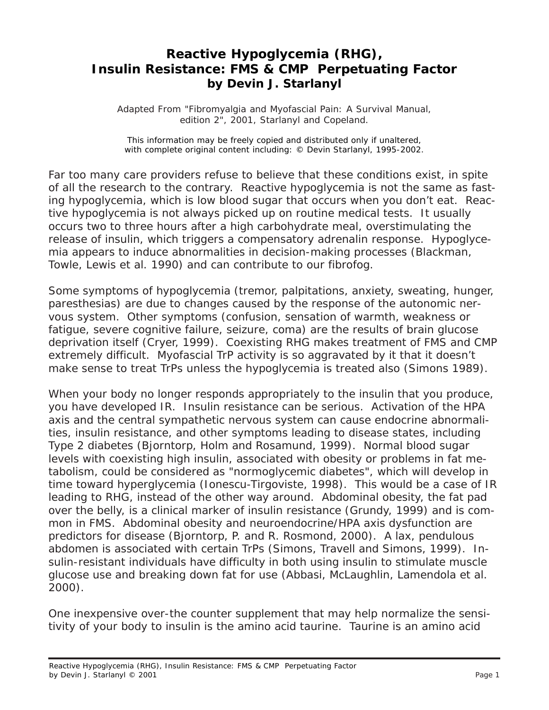## **Reactive Hypoglycemia (RHG), Insulin Resistance: FMS & CMP Perpetuating Factor by Devin J. Starlanyl**

Adapted From "Fibromyalgia and Myofascial Pain: A Survival Manual, edition 2", 2001, Starlanyl and Copeland.

This information may be freely copied and distributed only if unaltered, with complete original content including: © Devin Starlanyl, 1995-2002.

Far too many care providers refuse to believe that these conditions exist, in spite of all the research to the contrary. Reactive hypoglycemia is not the same as fasting hypoglycemia, which is low blood sugar that occurs when you don't eat. Reactive hypoglycemia is not always picked up on routine medical tests. It usually occurs two to three hours after a high carbohydrate meal, overstimulating the release of insulin, which triggers a compensatory adrenalin response. Hypoglycemia appears to induce abnormalities in decision-making processes (Blackman, Towle, Lewis et al. 1990) and can contribute to our fibrofog.

Some symptoms of hypoglycemia (tremor, palpitations, anxiety, sweating, hunger, paresthesias) are due to changes caused by the response of the autonomic nervous system. Other symptoms (confusion, sensation of warmth, weakness or fatigue, severe cognitive failure, seizure, coma) are the results of brain glucose deprivation itself (Cryer, 1999). Coexisting RHG makes treatment of FMS and CMP extremely difficult. Myofascial TrP activity is so aggravated by it that it doesn't make sense to treat TrPs unless the hypoglycemia is treated also (Simons 1989).

When your body no longer responds appropriately to the insulin that you produce, you have developed IR. Insulin resistance can be serious. Activation of the HPA axis and the central sympathetic nervous system can cause endocrine abnormalities, insulin resistance, and other symptoms leading to disease states, including Type 2 diabetes (Bjorntorp, Holm and Rosamund, 1999). Normal blood sugar levels with coexisting high insulin, associated with obesity or problems in fat metabolism, could be considered as "normoglycemic diabetes", which will develop in time toward hyperglycemia (Ionescu-Tirgoviste, 1998). This would be a case of IR leading to RHG, instead of the other way around. Abdominal obesity, the fat pad over the belly, is a clinical marker of insulin resistance (Grundy, 1999) and is common in FMS. Abdominal obesity and neuroendocrine/HPA axis dysfunction are predictors for disease (Bjorntorp, P. and R. Rosmond, 2000). A lax, pendulous abdomen is associated with certain TrPs (Simons, Travell and Simons, 1999). Insulin-resistant individuals have difficulty in both using insulin to stimulate muscle glucose use and breaking down fat for use (Abbasi, McLaughlin, Lamendola et al. 2000).

One inexpensive over-the counter supplement that may help normalize the sensitivity of your body to insulin is the amino acid taurine. Taurine is an amino acid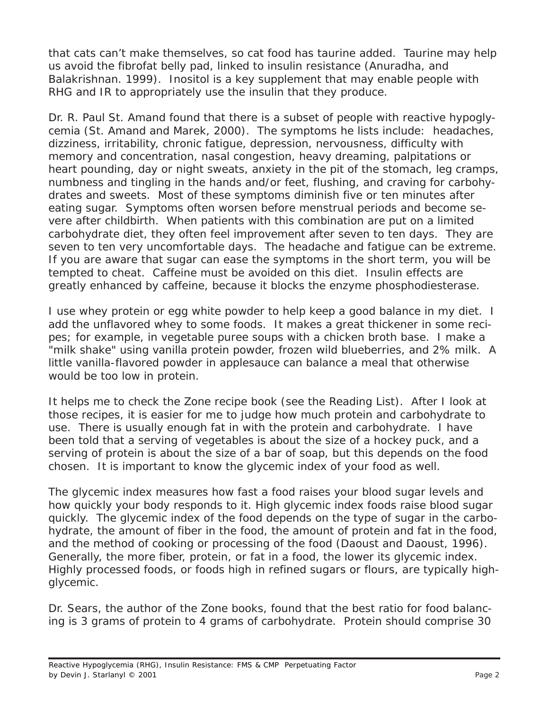that cats can't make themselves, so cat food has taurine added. Taurine may help us avoid the fibrofat belly pad, linked to insulin resistance (Anuradha, and Balakrishnan. 1999). Inositol is a key supplement that may enable people with RHG and IR to appropriately use the insulin that they produce.

Dr. R. Paul St. Amand found that there is a subset of people with reactive hypoglycemia (St. Amand and Marek, 2000). The symptoms he lists include: headaches, dizziness, irritability, chronic fatigue, depression, nervousness, difficulty with memory and concentration, nasal congestion, heavy dreaming, palpitations or heart pounding, day or night sweats, anxiety in the pit of the stomach, leg cramps, numbness and tingling in the hands and/or feet, flushing, and craving for carbohydrates and sweets. Most of these symptoms diminish five or ten minutes after eating sugar. Symptoms often worsen before menstrual periods and become severe after childbirth. When patients with this combination are put on a limited carbohydrate diet, they often feel improvement after seven to ten days. They are seven to ten very uncomfortable days. The headache and fatigue can be extreme. If you are aware that sugar can ease the symptoms in the short term, you will be tempted to cheat. Caffeine must be avoided on this diet. Insulin effects are greatly enhanced by caffeine, because it blocks the enzyme phosphodiesterase.

I use whey protein or egg white powder to help keep a good balance in my diet. I add the unflavored whey to some foods. It makes a great thickener in some recipes; for example, in vegetable puree soups with a chicken broth base. I make a "milk shake" using vanilla protein powder, frozen wild blueberries, and 2% milk. A little vanilla-flavored powder in applesauce can balance a meal that otherwise would be too low in protein.

It helps me to check the Zone recipe book (see the Reading List). After I look at those recipes, it is easier for me to judge how much protein and carbohydrate to use. There is usually enough fat in with the protein and carbohydrate. I have been told that a serving of vegetables is about the size of a hockey puck, and a serving of protein is about the size of a bar of soap, but this depends on the food chosen. It is important to know the glycemic index of your food as well.

The glycemic index measures how fast a food raises your blood sugar levels and how quickly your body responds to it. High glycemic index foods raise blood sugar quickly. The glycemic index of the food depends on the type of sugar in the carbohydrate, the amount of fiber in the food, the amount of protein and fat in the food, and the method of cooking or processing of the food (Daoust and Daoust, 1996). Generally, the more fiber, protein, or fat in a food, the lower its glycemic index. Highly processed foods, or foods high in refined sugars or flours, are typically highglycemic.

Dr. Sears, the author of the Zone books, found that the best ratio for food balancing is 3 grams of protein to 4 grams of carbohydrate. Protein should comprise 30